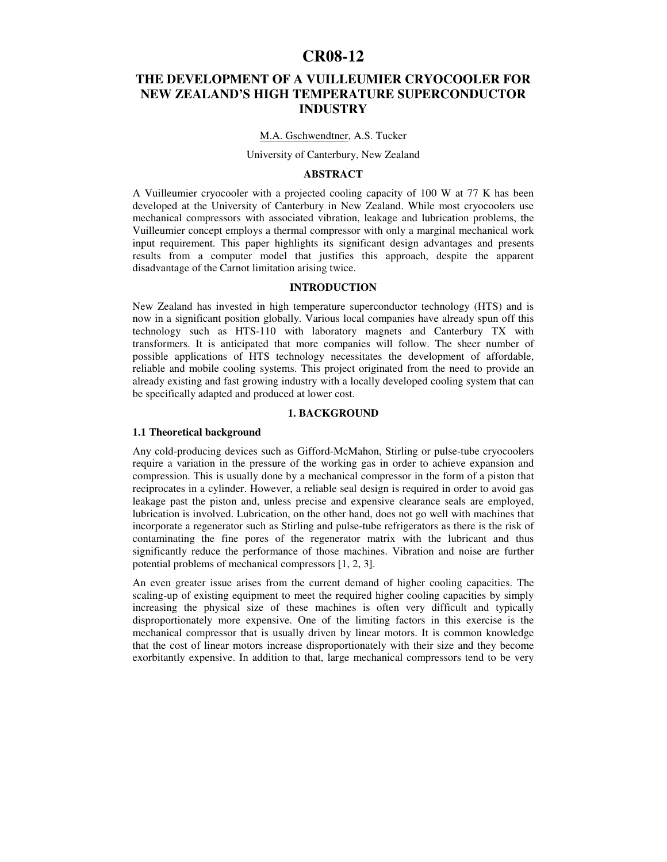# **CR08-12**

## **THE DEVELOPMENT OF A VUILLEUMIER CRYOCOOLER FOR NEW ZEALAND'S HIGH TEMPERATURE SUPERCONDUCTOR INDUSTRY**

#### M.A. Gschwendtner, A.S. Tucker

#### University of Canterbury, New Zealand

## **ABSTRACT**

A Vuilleumier cryocooler with a projected cooling capacity of 100 W at 77 K has been developed at the University of Canterbury in New Zealand. While most cryocoolers use mechanical compressors with associated vibration, leakage and lubrication problems, the Vuilleumier concept employs a thermal compressor with only a marginal mechanical work input requirement. This paper highlights its significant design advantages and presents results from a computer model that justifies this approach, despite the apparent disadvantage of the Carnot limitation arising twice.

## **INTRODUCTION**

New Zealand has invested in high temperature superconductor technology (HTS) and is now in a significant position globally. Various local companies have already spun off this technology such as HTS-110 with laboratory magnets and Canterbury TX with transformers. It is anticipated that more companies will follow. The sheer number of possible applications of HTS technology necessitates the development of affordable, reliable and mobile cooling systems. This project originated from the need to provide an already existing and fast growing industry with a locally developed cooling system that can be specifically adapted and produced at lower cost.

### **1. BACKGROUND**

## **1.1 Theoretical background**

Any cold-producing devices such as Gifford-McMahon, Stirling or pulse-tube cryocoolers require a variation in the pressure of the working gas in order to achieve expansion and compression. This is usually done by a mechanical compressor in the form of a piston that reciprocates in a cylinder. However, a reliable seal design is required in order to avoid gas leakage past the piston and, unless precise and expensive clearance seals are employed, lubrication is involved. Lubrication, on the other hand, does not go well with machines that incorporate a regenerator such as Stirling and pulse-tube refrigerators as there is the risk of contaminating the fine pores of the regenerator matrix with the lubricant and thus significantly reduce the performance of those machines. Vibration and noise are further potential problems of mechanical compressors [1, 2, 3].

An even greater issue arises from the current demand of higher cooling capacities. The scaling-up of existing equipment to meet the required higher cooling capacities by simply increasing the physical size of these machines is often very difficult and typically disproportionately more expensive. One of the limiting factors in this exercise is the mechanical compressor that is usually driven by linear motors. It is common knowledge that the cost of linear motors increase disproportionately with their size and they become exorbitantly expensive. In addition to that, large mechanical compressors tend to be very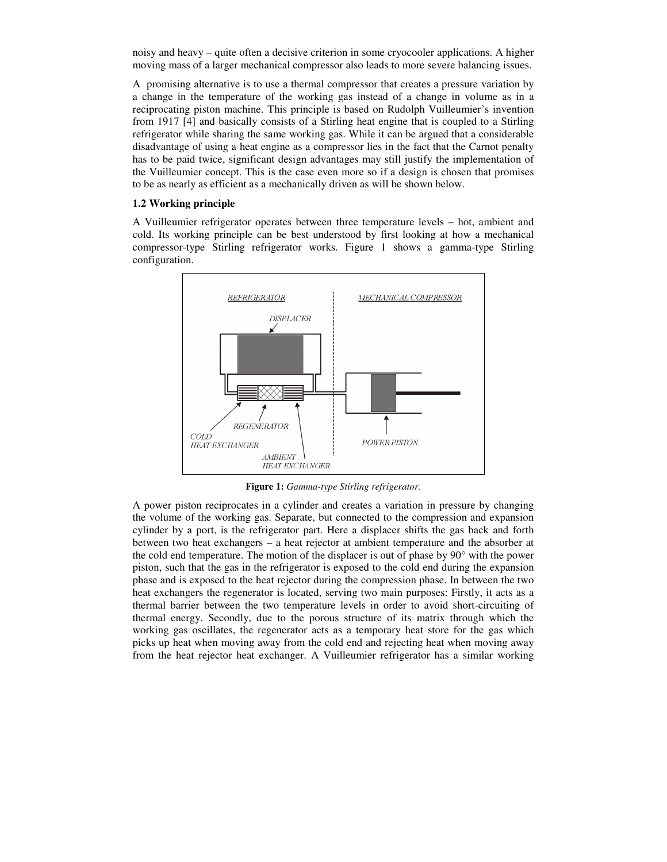noisy and heavy – quite often a decisive criterion in some cryocooler applications. A higher moving mass of a larger mechanical compressor also leads to more severe balancing issues.

A promising alternative is to use a thermal compressor that creates a pressure variation by a change in the temperature of the working gas instead of a change in volume as in a reciprocating piston machine. This principle is based on Rudolph Vuilleumier's invention from 1917 [4] and basically consists of a Stirling heat engine that is coupled to a Stirling refrigerator while sharing the same working gas. While it can be argued that a considerable disadvantage of using a heat engine as a compressor lies in the fact that the Carnot penalty has to be paid twice, significant design advantages may still justify the implementation of the Vuilleumier concept. This is the case even more so if a design is chosen that promises to be as nearly as efficient as a mechanically driven as will be shown below.

## **1.2 Working principle**

A Vuilleumier refrigerator operates between three temperature levels – hot, ambient and cold. Its working principle can be best understood by first looking at how a mechanical compressor-type Stirling refrigerator works. Figure 1 shows a gamma-type Stirling configuration.



**Figure 1:** *Gamma-type Stirling refrigerator.*

A power piston reciprocates in a cylinder and creates a variation in pressure by changing the volume of the working gas. Separate, but connected to the compression and expansion cylinder by a port, is the refrigerator part. Here a displacer shifts the gas back and forth between two heat exchangers – a heat rejector at ambient temperature and the absorber at the cold end temperature. The motion of the displacer is out of phase by 90° with the power piston, such that the gas in the refrigerator is exposed to the cold end during the expansion phase and is exposed to the heat rejector during the compression phase. In between the two heat exchangers the regenerator is located, serving two main purposes: Firstly, it acts as a thermal barrier between the two temperature levels in order to avoid short-circuiting of thermal energy. Secondly, due to the porous structure of its matrix through which the working gas oscillates, the regenerator acts as a temporary heat store for the gas which picks up heat when moving away from the cold end and rejecting heat when moving away from the heat rejector heat exchanger. A Vuilleumier refrigerator has a similar working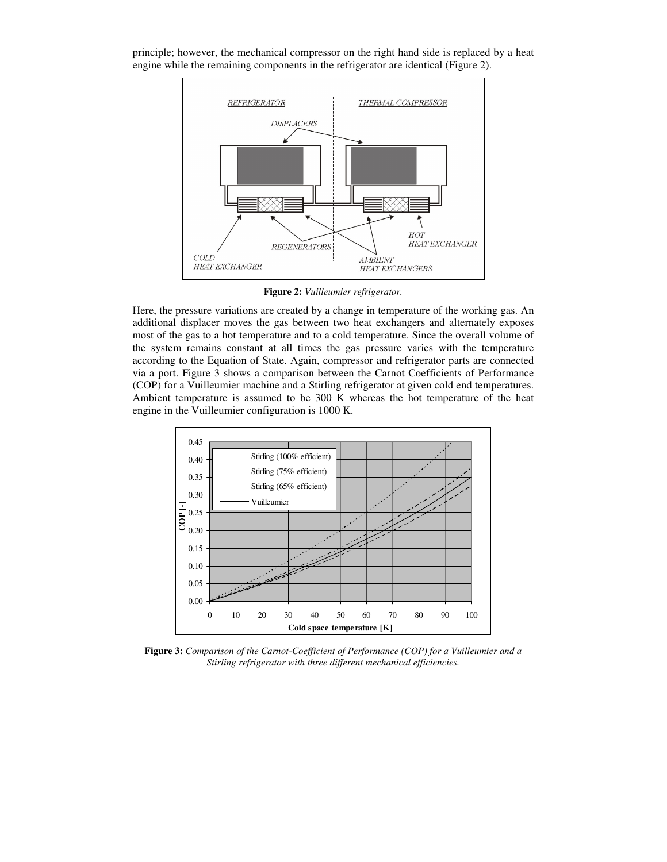

principle; however, the mechanical compressor on the right hand side is replaced by a heat engine while the remaining components in the refrigerator are identical (Figure 2).

**Figure 2:** *Vuilleumier refrigerator.*

Here, the pressure variations are created by a change in temperature of the working gas. An additional displacer moves the gas between two heat exchangers and alternately exposes most of the gas to a hot temperature and to a cold temperature. Since the overall volume of the system remains constant at all times the gas pressure varies with the temperature according to the Equation of State. Again, compressor and refrigerator parts are connected via a port. Figure 3 shows a comparison between the Carnot Coefficients of Performance (COP) for a Vuilleumier machine and a Stirling refrigerator at given cold end temperatures. Ambient temperature is assumed to be 300 K whereas the hot temperature of the heat engine in the Vuilleumier configuration is 1000 K.



**Figure 3:** *Comparison of the Carnot-Coefficient of Performance (COP) for a Vuilleumier and a Stirling refrigerator with three different mechanical efficiencies.*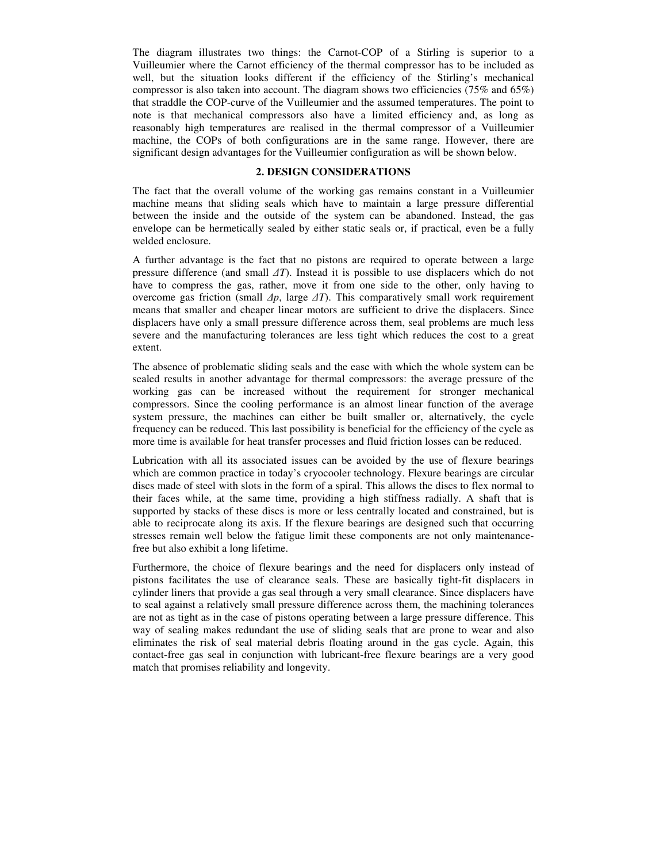The diagram illustrates two things: the Carnot-COP of a Stirling is superior to a Vuilleumier where the Carnot efficiency of the thermal compressor has to be included as well, but the situation looks different if the efficiency of the Stirling's mechanical compressor is also taken into account. The diagram shows two efficiencies (75% and 65%) that straddle the COP-curve of the Vuilleumier and the assumed temperatures. The point to note is that mechanical compressors also have a limited efficiency and, as long as reasonably high temperatures are realised in the thermal compressor of a Vuilleumier machine, the COPs of both configurations are in the same range. However, there are significant design advantages for the Vuilleumier configuration as will be shown below.

#### **2. DESIGN CONSIDERATIONS**

The fact that the overall volume of the working gas remains constant in a Vuilleumier machine means that sliding seals which have to maintain a large pressure differential between the inside and the outside of the system can be abandoned. Instead, the gas envelope can be hermetically sealed by either static seals or, if practical, even be a fully welded enclosure.

A further advantage is the fact that no pistons are required to operate between a large pressure difference (and small *T*). Instead it is possible to use displacers which do not have to compress the gas, rather, move it from one side to the other, only having to overcome gas friction (small  $\Delta p$ , large  $\Delta T$ ). This comparatively small work requirement means that smaller and cheaper linear motors are sufficient to drive the displacers. Since displacers have only a small pressure difference across them, seal problems are much less severe and the manufacturing tolerances are less tight which reduces the cost to a great extent.

The absence of problematic sliding seals and the ease with which the whole system can be sealed results in another advantage for thermal compressors: the average pressure of the working gas can be increased without the requirement for stronger mechanical compressors. Since the cooling performance is an almost linear function of the average system pressure, the machines can either be built smaller or, alternatively, the cycle frequency can be reduced. This last possibility is beneficial for the efficiency of the cycle as more time is available for heat transfer processes and fluid friction losses can be reduced.

Lubrication with all its associated issues can be avoided by the use of flexure bearings which are common practice in today's cryocooler technology. Flexure bearings are circular discs made of steel with slots in the form of a spiral. This allows the discs to flex normal to their faces while, at the same time, providing a high stiffness radially. A shaft that is supported by stacks of these discs is more or less centrally located and constrained, but is able to reciprocate along its axis. If the flexure bearings are designed such that occurring stresses remain well below the fatigue limit these components are not only maintenancefree but also exhibit a long lifetime.

Furthermore, the choice of flexure bearings and the need for displacers only instead of pistons facilitates the use of clearance seals. These are basically tight-fit displacers in cylinder liners that provide a gas seal through a very small clearance. Since displacers have to seal against a relatively small pressure difference across them, the machining tolerances are not as tight as in the case of pistons operating between a large pressure difference. This way of sealing makes redundant the use of sliding seals that are prone to wear and also eliminates the risk of seal material debris floating around in the gas cycle. Again, this contact-free gas seal in conjunction with lubricant-free flexure bearings are a very good match that promises reliability and longevity.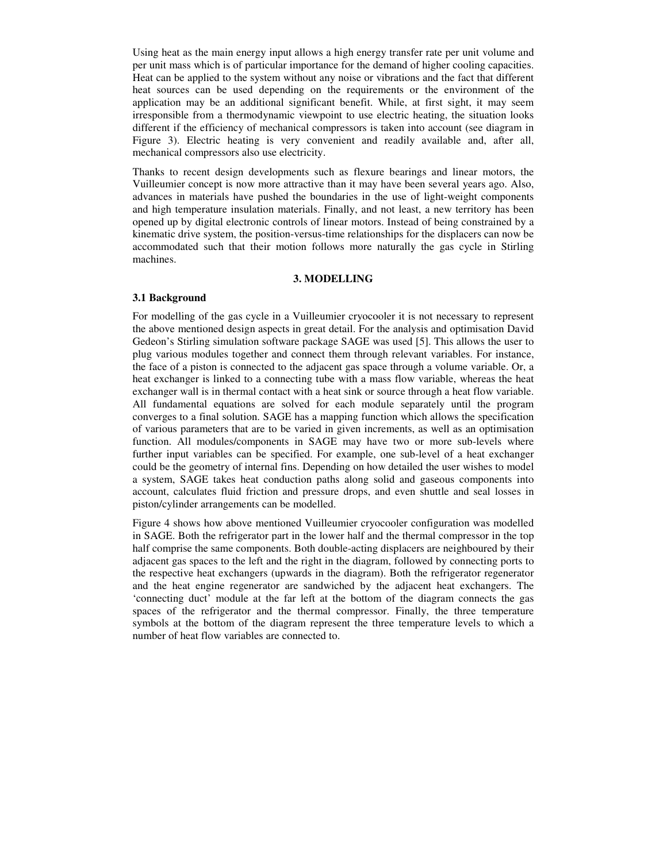Using heat as the main energy input allows a high energy transfer rate per unit volume and per unit mass which is of particular importance for the demand of higher cooling capacities. Heat can be applied to the system without any noise or vibrations and the fact that different heat sources can be used depending on the requirements or the environment of the application may be an additional significant benefit. While, at first sight, it may seem irresponsible from a thermodynamic viewpoint to use electric heating, the situation looks different if the efficiency of mechanical compressors is taken into account (see diagram in Figure 3). Electric heating is very convenient and readily available and, after all, mechanical compressors also use electricity.

Thanks to recent design developments such as flexure bearings and linear motors, the Vuilleumier concept is now more attractive than it may have been several years ago. Also, advances in materials have pushed the boundaries in the use of light-weight components and high temperature insulation materials. Finally, and not least, a new territory has been opened up by digital electronic controls of linear motors. Instead of being constrained by a kinematic drive system, the position-versus-time relationships for the displacers can now be accommodated such that their motion follows more naturally the gas cycle in Stirling machines.

#### **3. MODELLING**

## **3.1 Background**

For modelling of the gas cycle in a Vuilleumier cryocooler it is not necessary to represent the above mentioned design aspects in great detail. For the analysis and optimisation David Gedeon's Stirling simulation software package SAGE was used [5]. This allows the user to plug various modules together and connect them through relevant variables. For instance, the face of a piston is connected to the adjacent gas space through a volume variable. Or, a heat exchanger is linked to a connecting tube with a mass flow variable, whereas the heat exchanger wall is in thermal contact with a heat sink or source through a heat flow variable. All fundamental equations are solved for each module separately until the program converges to a final solution. SAGE has a mapping function which allows the specification of various parameters that are to be varied in given increments, as well as an optimisation function. All modules/components in SAGE may have two or more sub-levels where further input variables can be specified. For example, one sub-level of a heat exchanger could be the geometry of internal fins. Depending on how detailed the user wishes to model a system, SAGE takes heat conduction paths along solid and gaseous components into account, calculates fluid friction and pressure drops, and even shuttle and seal losses in piston/cylinder arrangements can be modelled.

Figure 4 shows how above mentioned Vuilleumier cryocooler configuration was modelled in SAGE. Both the refrigerator part in the lower half and the thermal compressor in the top half comprise the same components. Both double-acting displacers are neighboured by their adjacent gas spaces to the left and the right in the diagram, followed by connecting ports to the respective heat exchangers (upwards in the diagram). Both the refrigerator regenerator and the heat engine regenerator are sandwiched by the adjacent heat exchangers. The 'connecting duct' module at the far left at the bottom of the diagram connects the gas spaces of the refrigerator and the thermal compressor. Finally, the three temperature symbols at the bottom of the diagram represent the three temperature levels to which a number of heat flow variables are connected to.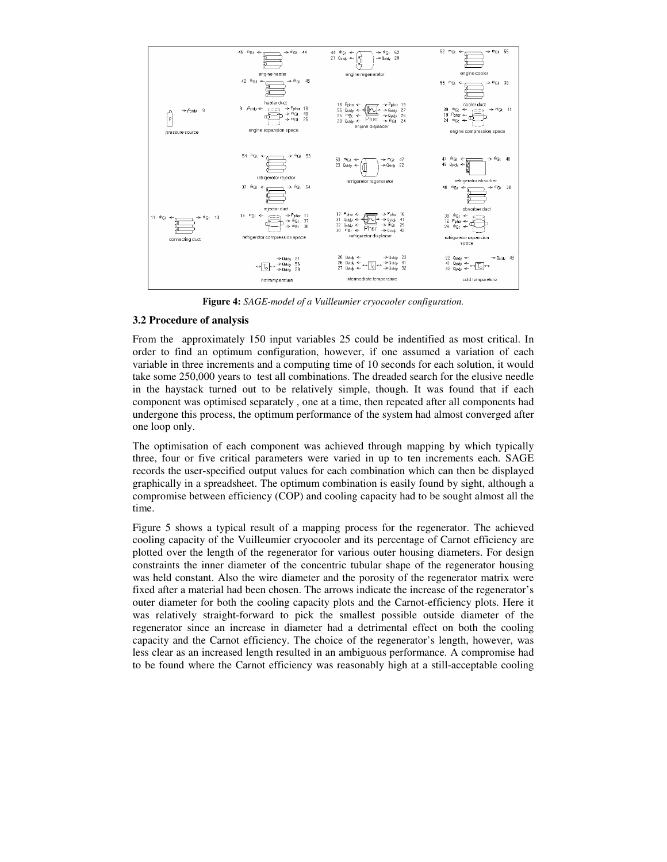

**Figure 4:** *SAGE-model of a Vuilleumier cryocooler configuration.*

## **3.2 Procedure of analysis**

From the approximately 150 input variables 25 could be indentified as most critical. In order to find an optimum configuration, however, if one assumed a variation of each variable in three increments and a computing time of 10 seconds for each solution, it would take some 250,000 years to test all combinations. The dreaded search for the elusive needle in the haystack turned out to be relatively simple, though. It was found that if each component was optimised separately , one at a time, then repeated after all components had undergone this process, the optimum performance of the system had almost converged after one loop only.

The optimisation of each component was achieved through mapping by which typically three, four or five critical parameters were varied in up to ten increments each. SAGE records the user-specified output values for each combination which can then be displayed graphically in a spreadsheet. The optimum combination is easily found by sight, although a compromise between efficiency (COP) and cooling capacity had to be sought almost all the time.

Figure 5 shows a typical result of a mapping process for the regenerator. The achieved cooling capacity of the Vuilleumier cryocooler and its percentage of Carnot efficiency are plotted over the length of the regenerator for various outer housing diameters. For design constraints the inner diameter of the concentric tubular shape of the regenerator housing was held constant. Also the wire diameter and the porosity of the regenerator matrix were fixed after a material had been chosen. The arrows indicate the increase of the regenerator's outer diameter for both the cooling capacity plots and the Carnot-efficiency plots. Here it was relatively straight-forward to pick the smallest possible outside diameter of the regenerator since an increase in diameter had a detrimental effect on both the cooling capacity and the Carnot efficiency. The choice of the regenerator's length, however, was less clear as an increased length resulted in an ambiguous performance. A compromise had to be found where the Carnot efficiency was reasonably high at a still-acceptable cooling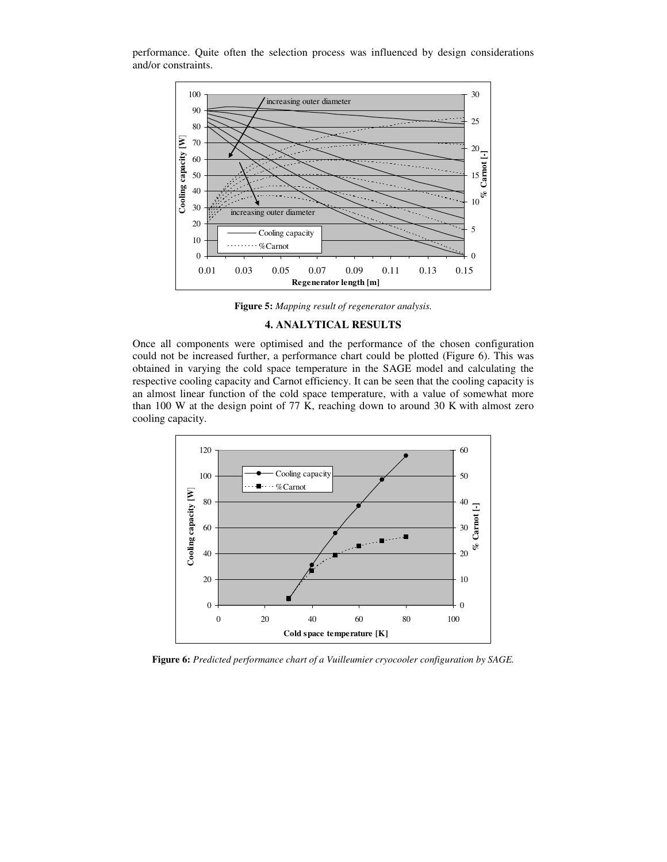

performance. Quite often the selection process was influenced by design considerations and/or constraints.

**Figure 5:** *Mapping result of regenerator analysis.*

## **4. ANALYTICAL RESULTS**

Once all components were optimised and the performance of the chosen configuration could not be increased further, a performance chart could be plotted (Figure 6). This was obtained in varying the cold space temperature in the SAGE model and calculating the respective cooling capacity and Carnot efficiency. It can be seen that the cooling capacity is an almost linear function of the cold space temperature, with a value of somewhat more than 100 W at the design point of 77 K, reaching down to around 30 K with almost zero cooling capacity.



**Figure 6:** *Predicted performance chart of a Vuilleumier cryocooler configuration by SAGE.*